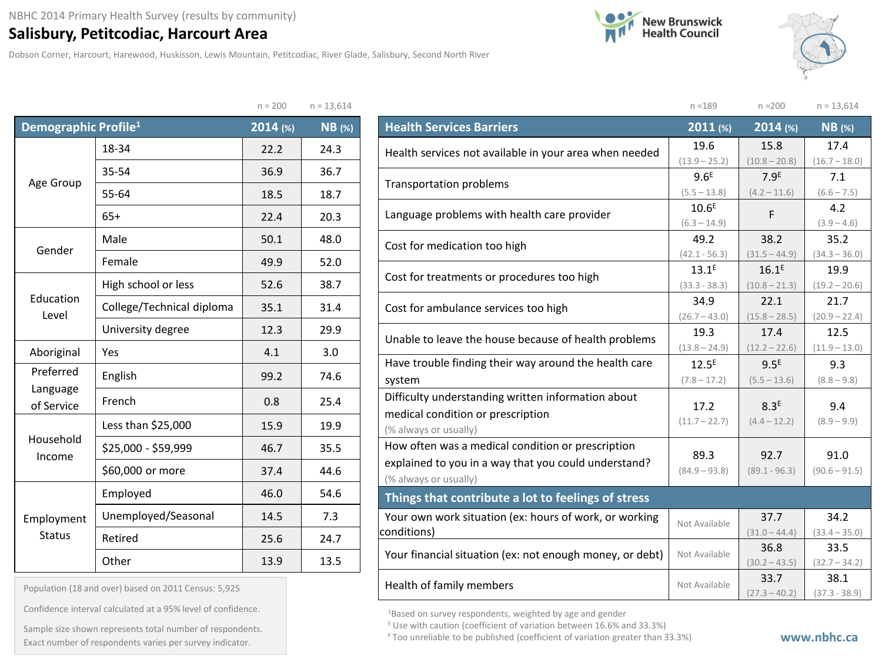## **Salisbury, Petitcodiac, Harcourt Area**

Dobson Corner, Harcourt, Harewood, Huskisson, Lewis Mountain, Petitcodiac, River Glade, Salisbury, Second North River





|                                  |                           | $n = 200$ | $n = 13,614$  |
|----------------------------------|---------------------------|-----------|---------------|
| Demographic Profile <sup>1</sup> |                           | 2014 (%)  | <b>NB</b> (%) |
|                                  | 18-34                     | 22.2      | 24.3          |
| Age Group                        | 35-54                     | 36.9      | 36.7          |
|                                  | 55-64                     | 18.5      | 18.7          |
|                                  | $65+$                     | 22.4      | 20.3          |
| Gender                           | Male                      |           | 48.0          |
|                                  | Female                    | 49.9      | 52.0          |
|                                  | High school or less       | 52.6      | 38.7          |
| Education<br>Level               | College/Technical diploma | 35.1      | 31.4          |
|                                  | University degree         | 12.3      | 29.9          |
| Aboriginal                       | Yes                       | 4.1       | 3.0           |
| Preferred<br>Language            | English                   | 99.2      | 74.6          |
| of Service                       | French                    | 0.8       | 25.4          |
|                                  | Less than \$25,000        | 15.9      | 19.9          |
| Household<br>Income              | \$25,000 - \$59,999       | 46.7      | 35.5          |
|                                  | \$60,000 or more          | 37.4      | 44.6          |
|                                  | Employed                  | 46.0      | 54.6          |
| Employment                       | Unemployed/Seasonal       | 14.5      | 7.3           |
| <b>Status</b>                    | Retired                   | 25.6      | 24.7          |
|                                  | Other                     | 13.9      | 13.5          |

| Population (18 and over) based on 2011 Census: 5,925 |  |  |  |  |  |  |
|------------------------------------------------------|--|--|--|--|--|--|
|------------------------------------------------------|--|--|--|--|--|--|

Confidence interval calculated at a 95% level of confidence.

Exact number of respondents varies per survey indicator. **Exact number of respondents varies per survey** indicator. Sample size shown represents total number of respondents.

|                                                          | $n = 189$         | $n = 200$        | $n = 13,614$    |
|----------------------------------------------------------|-------------------|------------------|-----------------|
| <b>Health Services Barriers</b>                          | 2011 (%)          | 2014 (%)         | <b>NB</b> (%)   |
| Health services not available in your area when needed   | 19.6              | 15.8             | 17.4            |
|                                                          | $(13.9 - 25.2)$   | $(10.8 - 20.8)$  | $(16.7 - 18.0)$ |
| <b>Transportation problems</b>                           | 9.6 <sup>E</sup>  | 7.9 <sup>E</sup> | 7.1             |
|                                                          | $(5.5 - 13.8)$    | $(4.2 - 11.6)$   | $(6.6 - 7.5)$   |
| Language problems with health care provider              | 10.6 <sup>E</sup> | F                | 4.2             |
|                                                          | $(6.3 - 14.9)$    |                  | $(3.9 - 4.6)$   |
| Cost for medication too high                             | 49.2              | 38.2             | 35.2            |
|                                                          | $(42.1 - 56.3)$   | $(31.5 - 44.9)$  | $(34.3 - 36.0)$ |
| Cost for treatments or procedures too high               | $13.1^{E}$        | $16.1^E$         | 19.9            |
|                                                          | $(33.3 - 38.3)$   | $(10.8 - 21.3)$  | $(19.2 - 20.6)$ |
| Cost for ambulance services too high                     | 34.9              | 22.1             | 21.7            |
|                                                          | $(26.7 - 43.0)$   | $(15.8 - 28.5)$  | $(20.9 - 22.4)$ |
| Unable to leave the house because of health problems     | 19.3              | 17.4             | 12.5            |
|                                                          | $(13.8 - 24.9)$   | $(12.2 - 22.6)$  | $(11.9 - 13.0)$ |
| Have trouble finding their way around the health care    | $12.5^E$          | 9.5 <sup>E</sup> | 9.3             |
| system                                                   | $(7.8 - 17.2)$    | $(5.5 - 13.6)$   | $(8.8 - 9.8)$   |
| Difficulty understanding written information about       |                   |                  |                 |
| medical condition or prescription                        | 17.2              | 8.3 <sup>E</sup> | 9.4             |
| (% always or usually)                                    | $(11.7 - 22.7)$   | $(4.4 - 12.2)$   | $(8.9 - 9.9)$   |
| How often was a medical condition or prescription        |                   |                  |                 |
| explained to you in a way that you could understand?     | 89.3              | 92.7             | 91.0            |
| (% always or usually)                                    | $(84.9 - 93.8)$   | $(89.1 - 96.3)$  | $(90.6 - 91.5)$ |
| Things that contribute a lot to feelings of stress       |                   |                  |                 |
| Your own work situation (ex: hours of work, or working   |                   | 37.7             | 34.2            |
| conditions)                                              | Not Available     | $(31.0 - 44.4)$  | $(33.4 - 35.0)$ |
| Your financial situation (ex: not enough money, or debt) | Not Available     | 36.8             | 33.5            |
|                                                          |                   | $(30.2 - 43.5)$  | $(32.7 - 34.2)$ |
| Health of family members                                 | Not Available     | 33.7             | 38.1            |
|                                                          |                   | $(27.3 - 40.2)$  | $(37.3 - 38.9)$ |

1Based on survey respondents, weighted by age and gender

E Use with caution (coefficient of variation between 16.6% and 33.3%)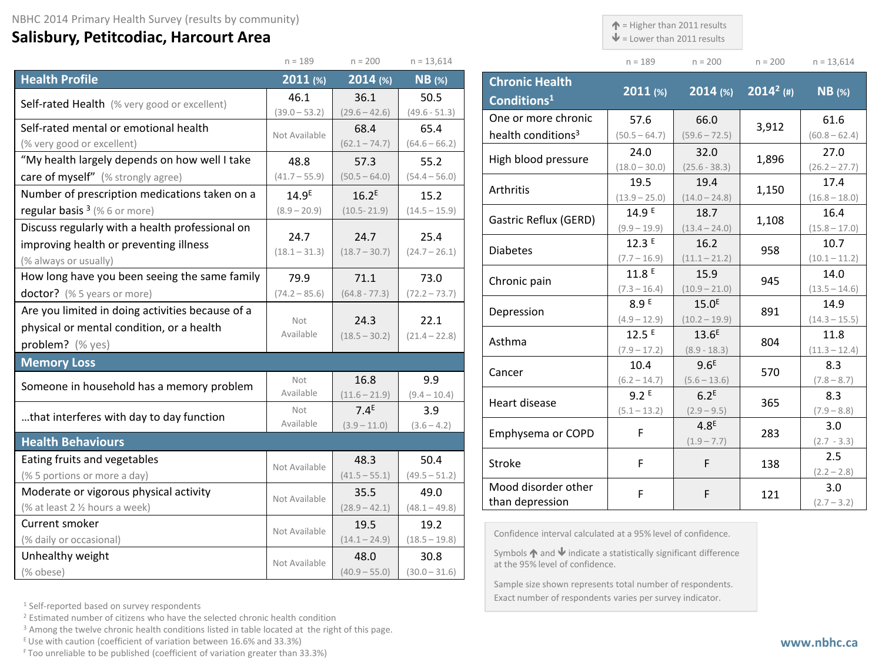## **Salisbury, Petitcodiac, Harcourt Area**

 $\uparrow$  = Higher than 2011 results

 $\mathbf{\Psi}$  = Lower than 2011 results

Exact number of respondents varies per survey indicator.

 $n = 13,614$ 

|                                                           | $n = 189$         | $n = 200$               | $n = 13,614$            |                         |                                                                                                                      | $n = 189$                          | $n = 200$                            | $n = 200$    | $n = 13,614$            |
|-----------------------------------------------------------|-------------------|-------------------------|-------------------------|-------------------------|----------------------------------------------------------------------------------------------------------------------|------------------------------------|--------------------------------------|--------------|-------------------------|
| <b>Health Profile</b>                                     | $2011$ (%)        | 2014 (%)                | $NB$ (%)                |                         | <b>Chronic Health</b>                                                                                                |                                    |                                      |              |                         |
| Self-rated Health (% very good or excellent)              | 46.1              | 36.1                    | 50.5                    | Conditions <sup>1</sup> |                                                                                                                      | 2011 (%)                           | $2014$ (%)                           | $2014^2$ (#) | $NB$ (%)                |
|                                                           | $(39.0 - 53.2)$   | $(29.6 - 42.6)$         | $(49.6 - 51.3)$         |                         | One or more chronic                                                                                                  | 57.6                               | 66.0                                 |              | 61.6                    |
| Self-rated mental or emotional health                     | Not Available     | 68.4                    | 65.4                    |                         | health conditions <sup>3</sup>                                                                                       | $(50.5 - 64.7)$                    | $(59.6 - 72.5)$                      | 3,912        | $(60.8 - 62.4)$         |
| (% very good or excellent)                                |                   | $(62.1 - 74.7)$         | $(64.6 - 66.2)$         |                         |                                                                                                                      | 24.0                               | 32.0                                 |              | 27.0                    |
| "My health largely depends on how well I take             | 48.8              | 57.3                    | 55.2                    |                         | High blood pressure                                                                                                  | $(18.0 - 30.0)$                    | $(25.6 - 38.3)$                      | 1,896        | $(26.2 - 27.7)$         |
| care of myself" (% strongly agree)                        | $(41.7 - 55.9)$   | $(50.5 - 64.0)$         | $(54.4 - 56.0)$         | Arthritis               |                                                                                                                      | 19.5                               | 19.4                                 | 1,150        | 17.4                    |
| Number of prescription medications taken on a             | 14.9 <sup>E</sup> | $16.2^E$                | 15.2                    |                         |                                                                                                                      | $(13.9 - 25.0)$                    | $(14.0 - 24.8)$                      |              | $(16.8 - 18.0)$         |
| regular basis $3$ (% 6 or more)                           | $(8.9 - 20.9)$    | $(10.5 - 21.9)$         | $(14.5 - 15.9)$         |                         | Gastric Reflux (GERD)                                                                                                | 14.9E                              | 18.7                                 | 1,108        | 16.4                    |
| Discuss regularly with a health professional on           | 24.7              | 24.7                    | 25.4                    |                         |                                                                                                                      | $(9.9 - 19.9)$                     | $(13.4 - 24.0)$                      |              | $(15.8 - 17.0)$         |
| improving health or preventing illness                    | $(18.1 - 31.3)$   | $(18.7 - 30.7)$         | $(24.7 - 26.1)$         | <b>Diabetes</b>         |                                                                                                                      | 12.3E                              | 16.2                                 | 958          | 10.7                    |
| (% always or usually)                                     |                   |                         |                         |                         |                                                                                                                      | $(7.7 - 16.9)$                     | $(11.1 - 21.2)$                      |              | $(10.1 - 11.2)$         |
| How long have you been seeing the same family             | 79.9              | 71.1                    | 73.0                    | Chronic pain            |                                                                                                                      | 11.8E                              | 15.9                                 | 945          | 14.0                    |
| doctor? (% 5 years or more)                               | $(74.2 - 85.6)$   | $(64.8 - 77.3)$         | $(72.2 - 73.7)$         |                         |                                                                                                                      | $(7.3 - 16.4)$<br>8.9 <sup>E</sup> | $(10.9 - 21.0)$                      |              | $(13.5 - 14.6)$         |
| Are you limited in doing activities because of a          |                   |                         |                         | Depression              |                                                                                                                      | $(4.9 - 12.9)$                     | 15.0 <sup>E</sup><br>$(10.2 - 19.9)$ | 891          | 14.9<br>$(14.3 - 15.5)$ |
| physical or mental condition, or a health                 | Not<br>Available  | 24.3<br>$(18.5 - 30.2)$ | 22.1<br>$(21.4 - 22.8)$ |                         |                                                                                                                      | 12.5E                              | 13.6 <sup>E</sup>                    |              | 11.8                    |
| problem? (% yes)                                          |                   |                         |                         | Asthma                  |                                                                                                                      | $(7.9 - 17.2)$                     | $(8.9 - 18.3)$                       | 804          | $(11.3 - 12.4)$         |
| <b>Memory Loss</b>                                        |                   |                         |                         |                         |                                                                                                                      | 10.4                               | 9.6 <sup>E</sup>                     |              | 8.3                     |
|                                                           | Not               | 16.8                    | 9.9                     | Cancer                  |                                                                                                                      | $(6.2 - 14.7)$                     | $(5.6 - 13.6)$                       | 570          | $(7.8 - 8.7)$           |
| Someone in household has a memory problem                 | Available         | $(11.6 - 21.9)$         | $(9.4 - 10.4)$          |                         |                                                                                                                      | 9.2E                               | 6.2 <sup>E</sup>                     |              | 8.3                     |
| that interferes with day to day function                  | Not               | 7.4 <sup>E</sup>        | 3.9                     | Heart disease           |                                                                                                                      | $(5.1 - 13.2)$                     | $(2.9 - 9.5)$                        | 365          | $(7.9 - 8.8)$           |
|                                                           | Available         | $(3.9 - 11.0)$          | $(3.6 - 4.2)$           |                         | Emphysema or COPD                                                                                                    | F                                  | 4.8 <sup>E</sup>                     | 283          | 3.0                     |
| <b>Health Behaviours</b>                                  |                   |                         |                         |                         |                                                                                                                      |                                    | $(1.9 - 7.7)$                        |              | $(2.7 - 3.3)$           |
| Eating fruits and vegetables                              | Not Available     | 48.3                    | 50.4                    | Stroke                  |                                                                                                                      | F                                  | F                                    | 138          | 2.5                     |
| (% 5 portions or more a day)                              |                   | $(41.5 - 55.1)$         | $(49.5 - 51.2)$         |                         |                                                                                                                      |                                    |                                      |              | $(2.2 - 2.8)$           |
| Moderate or vigorous physical activity                    | Not Available     | 35.5                    | 49.0                    |                         | Mood disorder other                                                                                                  | $\mathsf F$                        | F                                    | 121          | 3.0                     |
| (% at least 2 % hours a week)                             |                   | $(28.9 - 42.1)$         | $(48.1 - 49.8)$         |                         | than depression                                                                                                      |                                    |                                      |              | $(2.7 - 3.2)$           |
| Current smoker                                            | Not Available     | 19.5                    | 19.2                    |                         |                                                                                                                      |                                    |                                      |              |                         |
| (% daily or occasional)                                   |                   | $(14.1 - 24.9)$         | $(18.5 - 19.8)$         |                         | Confidence interval calculated at a 95% level of confidence.                                                         |                                    |                                      |              |                         |
| Unhealthy weight                                          | Not Available     | 48.0                    | 30.8                    |                         | Symbols $\bigwedge$ and $\bigvee$ indicate a statistically significant difference<br>at the 95% level of confidence. |                                    |                                      |              |                         |
| (% obese)                                                 |                   | $(40.9 - 55.0)$         | $(30.0 - 31.6)$         |                         |                                                                                                                      |                                    |                                      |              |                         |
| Sample size shown represents total number of respondents. |                   |                         |                         |                         |                                                                                                                      |                                    |                                      |              |                         |

<sup>1</sup> Self-reported based on survey respondents

<sup>2</sup> Estimated number of citizens who have the selected chronic health condition

<sup>3</sup> Among the twelve chronic health conditions listed in table located at the right of this page.

 $E$  Use with caution (coefficient of variation between 16.6% and 33.3%)

F Too unreliable to be published (coefficient of variation greater than 33.3%)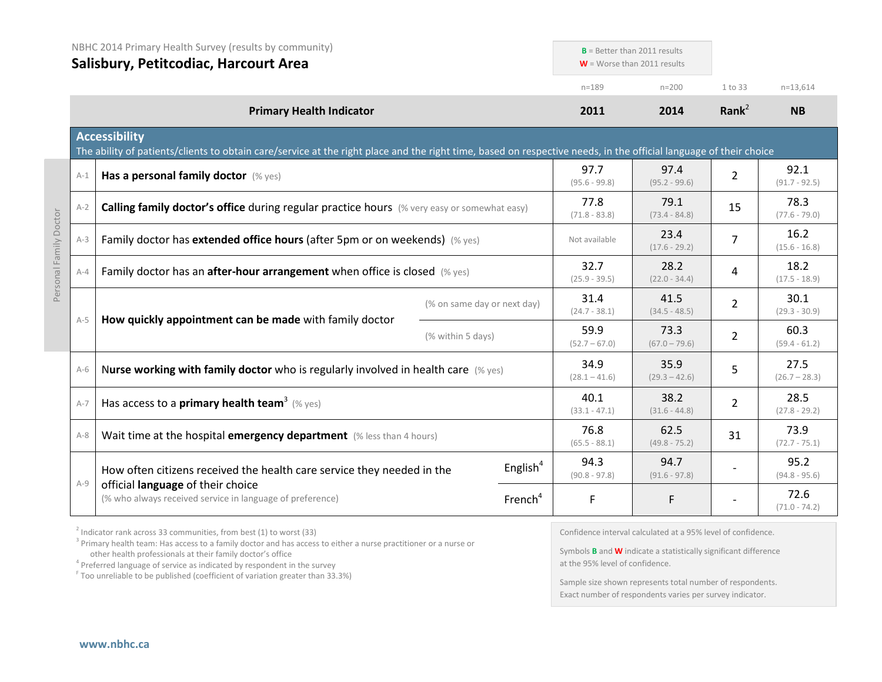|                        |         | NBHC 2014 Primary Health Survey (results by community)<br>Salisbury, Petitcodiac, Harcourt Area                                                                                           |                         | $B =$ Better than 2011 results<br>$W =$ Worse than 2011 results |                         |                         |                         |
|------------------------|---------|-------------------------------------------------------------------------------------------------------------------------------------------------------------------------------------------|-------------------------|-----------------------------------------------------------------|-------------------------|-------------------------|-------------------------|
|                        |         |                                                                                                                                                                                           |                         | $n = 189$                                                       | $n = 200$               | 1 to 33                 | $n=13,614$              |
|                        |         | <b>Primary Health Indicator</b>                                                                                                                                                           |                         | 2011                                                            | 2014                    | Rank <sup>2</sup>       | <b>NB</b>               |
|                        |         | <b>Accessibility</b><br>The ability of patients/clients to obtain care/service at the right place and the right time, based on respective needs, in the official language of their choice |                         |                                                                 |                         |                         |                         |
|                        | $A-1$   | Has a personal family doctor (% yes)                                                                                                                                                      |                         | 97.7<br>$(95.6 - 99.8)$                                         | 97.4<br>$(95.2 - 99.6)$ | $\overline{2}$          | 92.1<br>$(91.7 - 92.5)$ |
|                        | $A-2$   | <b>Calling family doctor's office during regular practice hours</b> (% very easy or somewhat easy)                                                                                        |                         | 77.8<br>$(71.8 - 83.8)$                                         | 79.1<br>$(73.4 - 84.8)$ | 15                      | 78.3<br>$(77.6 - 79.0)$ |
| Personal Family Doctor | $A-3$   | Family doctor has extended office hours (after 5pm or on weekends) (% yes)                                                                                                                |                         |                                                                 | 23.4<br>$(17.6 - 29.2)$ | $\overline{7}$          | 16.2<br>$(15.6 - 16.8)$ |
|                        | $A - 4$ | Family doctor has an after-hour arrangement when office is closed (% yes)                                                                                                                 |                         |                                                                 | 28.2<br>$(22.0 - 34.4)$ | 4                       | 18.2<br>$(17.5 - 18.9)$ |
|                        |         | (% on same day or next day)<br>How quickly appointment can be made with family doctor<br>(% within 5 days)                                                                                |                         | 31.4<br>$(24.7 - 38.1)$                                         | 41.5<br>$(34.5 - 48.5)$ | $\overline{2}$          | 30.1<br>$(29.3 - 30.9)$ |
|                        | $A-5$   |                                                                                                                                                                                           | 59.9<br>$(52.7 - 67.0)$ | 73.3<br>$(67.0 - 79.6)$                                         | $\overline{2}$          | 60.3<br>$(59.4 - 61.2)$ |                         |
|                        | $A-6$   | Nurse working with family doctor who is regularly involved in health care $(\%$ yes)                                                                                                      |                         | 34.9<br>$(28.1 - 41.6)$                                         | 35.9<br>$(29.3 - 42.6)$ | 5                       | 27.5<br>$(26.7 - 28.3)$ |
|                        | $A-7$   | Has access to a <b>primary health team</b> <sup>3</sup> (% yes)                                                                                                                           |                         | 40.1<br>$(33.1 - 47.1)$                                         | 38.2<br>$(31.6 - 44.8)$ | 2                       | 28.5<br>$(27.8 - 29.2)$ |
|                        | $A-8$   | Wait time at the hospital emergency department (% less than 4 hours)                                                                                                                      |                         | 76.8<br>$(65.5 - 88.1)$                                         | 62.5<br>$(49.8 - 75.2)$ | 31                      | 73.9<br>$(72.7 - 75.1)$ |
|                        | $A-9$   | How often citizens received the health care service they needed in the                                                                                                                    | English <sup>4</sup>    | 94.3<br>$(90.8 - 97.8)$                                         | 94.7<br>$(91.6 - 97.8)$ |                         | 95.2<br>$(94.8 - 95.6)$ |
|                        |         | official language of their choice<br>(% who always received service in language of preference)                                                                                            | French <sup>4</sup>     | $\mathsf F$                                                     | F                       |                         | 72.6<br>$(71.0 - 74.2)$ |

 $2$  Indicator rank across 33 communities, from best (1) to worst (33)

<sup>3</sup> Primary health team: Has access to a family doctor and has access to either a nurse practitioner or a nurse or other health professionals at their family doctor's office

<sup>4</sup> Preferred language of service as indicated by respondent in the survey

<sup>F</sup> Too unreliable to be published (coefficient of variation greater than 33.3%)

Confidence interval calculated at a 95% level of confidence.

Symbols **B** and **W** indicate a statistically significant difference at the 95% level of confidence.

Sample size shown represents total number of respondents. Exact number of respondents varies per survey indicator.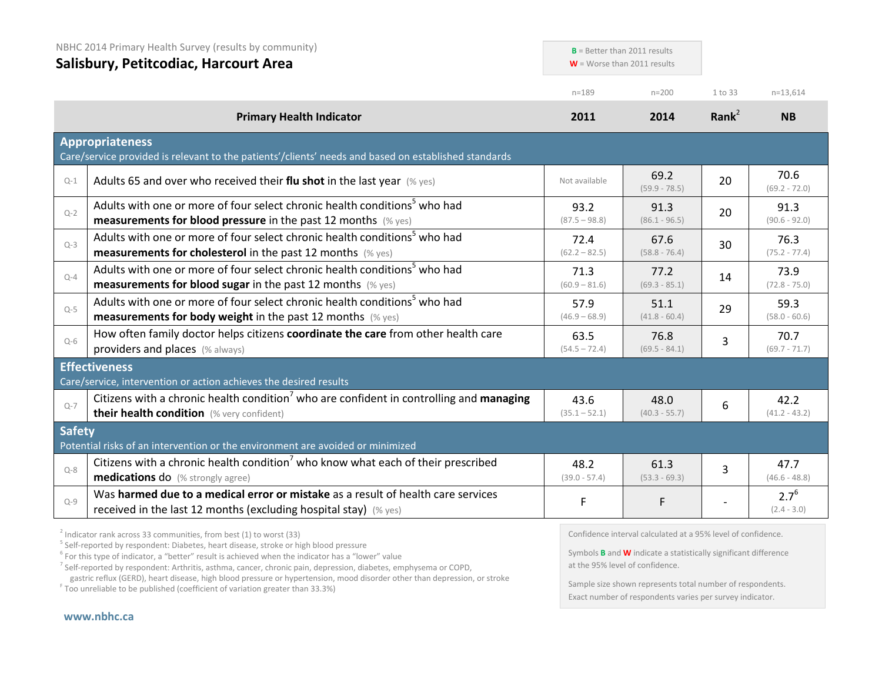| NBHC 2014 Primary Health Survey (results by community)<br>Salisbury, Petitcodiac, Harcourt Area |                                                                                                                                                                  | $B =$ Better than 2011 results<br>$W =$ Worse than 2011 results |                         |           |                            |
|-------------------------------------------------------------------------------------------------|------------------------------------------------------------------------------------------------------------------------------------------------------------------|-----------------------------------------------------------------|-------------------------|-----------|----------------------------|
|                                                                                                 |                                                                                                                                                                  | $n = 189$                                                       | $n = 200$               | 1 to 33   | $n=13,614$                 |
|                                                                                                 | <b>Primary Health Indicator</b>                                                                                                                                  | 2011                                                            | 2014                    | Rank $^2$ | <b>NB</b>                  |
|                                                                                                 | <b>Appropriateness</b><br>Care/service provided is relevant to the patients'/clients' needs and based on established standards                                   |                                                                 |                         |           |                            |
| $Q-1$                                                                                           | Adults 65 and over who received their flu shot in the last year $(\%$ yes)                                                                                       | Not available                                                   | 69.2<br>$(59.9 - 78.5)$ | 20        | 70.6<br>$(69.2 - 72.0)$    |
| $Q - 2$                                                                                         | Adults with one or more of four select chronic health conditions <sup>5</sup> who had<br><b>measurements for blood pressure</b> in the past 12 months $(\%$ yes) | 93.2<br>$(87.5 - 98.8)$                                         | 91.3<br>$(86.1 - 96.5)$ | 20        | 91.3<br>$(90.6 - 92.0)$    |
| $Q-3$                                                                                           | Adults with one or more of four select chronic health conditions <sup>5</sup> who had<br><b>measurements for cholesterol</b> in the past 12 months (% yes)       | 72.4<br>$(62.2 - 82.5)$                                         | 67.6<br>$(58.8 - 76.4)$ | 30        | 76.3<br>$(75.2 - 77.4)$    |
| $Q-4$                                                                                           | Adults with one or more of four select chronic health conditions <sup>5</sup> who had<br><b>measurements for blood sugar in the past 12 months</b> (% yes)       | 71.3<br>$(60.9 - 81.6)$                                         | 77.2<br>$(69.3 - 85.1)$ | 14        | 73.9<br>$(72.8 - 75.0)$    |
| $Q-5$                                                                                           | Adults with one or more of four select chronic health conditions <sup>5</sup> who had<br><b>measurements for body weight</b> in the past 12 months (% yes)       | 57.9<br>$(46.9 - 68.9)$                                         | 51.1<br>$(41.8 - 60.4)$ | 29        | 59.3<br>$(58.0 - 60.6)$    |
| $Q-6$                                                                                           | How often family doctor helps citizens coordinate the care from other health care<br>providers and places (% always)                                             | 63.5<br>$(54.5 - 72.4)$                                         | 76.8<br>$(69.5 - 84.1)$ | 3         | 70.7<br>$(69.7 - 71.7)$    |
|                                                                                                 | <b>Effectiveness</b><br>Care/service, intervention or action achieves the desired results                                                                        |                                                                 |                         |           |                            |
| $Q - 7$                                                                                         | Citizens with a chronic health condition <sup>7</sup> who are confident in controlling and managing<br>their health condition (% very confident)                 | 43.6<br>$(35.1 - 52.1)$                                         | 48.0<br>$(40.3 - 55.7)$ | 6         | 42.2<br>$(41.2 - 43.2)$    |
| <b>Safety</b>                                                                                   | Potential risks of an intervention or the environment are avoided or minimized                                                                                   |                                                                 |                         |           |                            |
| $Q - 8$                                                                                         | Citizens with a chronic health condition <sup>7</sup> who know what each of their prescribed<br><b>medications do</b> (% strongly agree)                         | 48.2<br>$(39.0 - 57.4)$                                         | 61.3<br>$(53.3 - 69.3)$ | 3         | 47.7<br>$(46.6 - 48.8)$    |
| $Q-9$                                                                                           | Was harmed due to a medical error or mistake as a result of health care services<br>received in the last 12 months (excluding hospital stay) (% yes)             | F                                                               | F                       |           | $2.7^{6}$<br>$(2.4 - 3.0)$ |

<sup>2</sup> Indicator rank across 33 communities, from best (1) to worst (33)<br><sup>5</sup> Self-reported by respondent: Diabetes, heart disease, stroke or high blood pressure

<sup>6</sup> For this type of indicator, a "better" result is achieved when the indicator has a "lower" value

<sup>7</sup> Self-reported by respondent: Arthritis, asthma, cancer, chronic pain, depression, diabetes, emphysema or COPD, gastric reflux (GERD), heart disease, high blood pressure or hypertension, mood disorder other than depression, or stroke F Too unreliable to be published (coefficient of variation greater than 33.3%)

Confidence interval calculated at a 95% level of confidence.

Symbols **B** and **W** indicate a statistically significant difference at the 95% level of confidence.

Sample size shown represents total number of respondents. Exact number of respondents varies per survey indicator.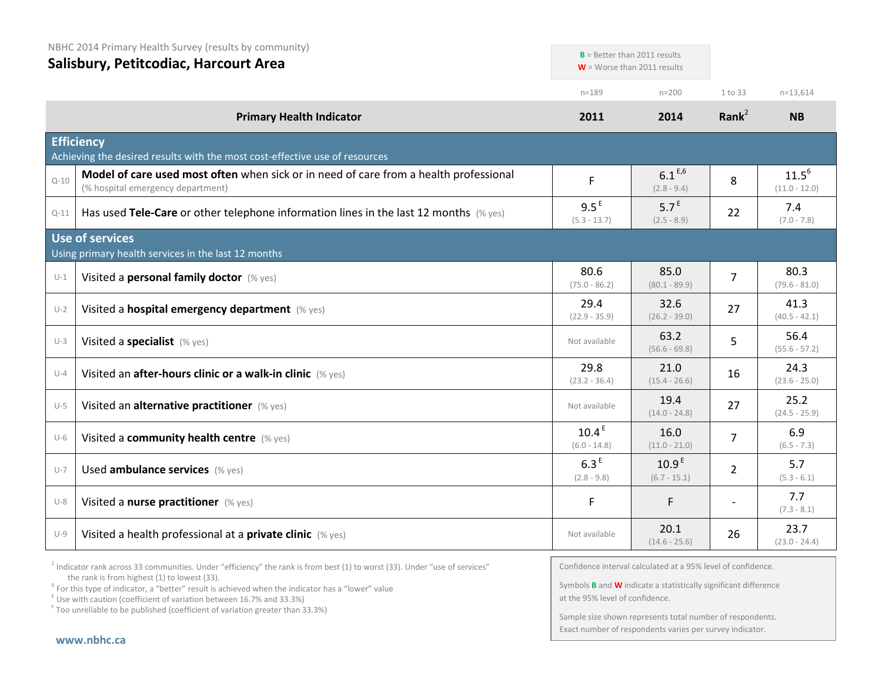|          | NBHC 2014 Primary Health Survey (results by community)<br>Salisbury, Petitcodiac, Harcourt Area                            |                                     | $B$ = Better than 2011 results<br>$W =$ Worse than 2011 results |                |                               |
|----------|----------------------------------------------------------------------------------------------------------------------------|-------------------------------------|-----------------------------------------------------------------|----------------|-------------------------------|
|          |                                                                                                                            | $n = 189$                           | $n = 200$                                                       | 1 to 33        | $n=13,614$                    |
|          | <b>Primary Health Indicator</b>                                                                                            | 2011                                | 2014                                                            | Rank $^2$      | <b>NB</b>                     |
|          | <b>Efficiency</b><br>Achieving the desired results with the most cost-effective use of resources                           |                                     |                                                                 |                |                               |
| $Q - 10$ | Model of care used most often when sick or in need of care from a health professional<br>(% hospital emergency department) | F                                   | $6.1^{E,6}$<br>$(2.8 - 9.4)$                                    | 8              | $11.5^{6}$<br>$(11.0 - 12.0)$ |
| $Q-11$   | Has used Tele-Care or other telephone information lines in the last 12 months $(\%$ yes)                                   | 9.5 <sup>E</sup><br>$(5.3 - 13.7)$  | 5.7 <sup>E</sup><br>$(2.5 - 8.9)$                               | 22             | 7.4<br>$(7.0 - 7.8)$          |
|          | Use of services<br>Using primary health services in the last 12 months                                                     |                                     |                                                                 |                |                               |
| $U-1$    | Visited a personal family doctor (% yes)                                                                                   | 80.6<br>$(75.0 - 86.2)$             | 85.0<br>$(80.1 - 89.9)$                                         | $\overline{7}$ | 80.3<br>$(79.6 - 81.0)$       |
| $U-2$    | Visited a hospital emergency department (% yes)                                                                            | 29.4<br>$(22.9 - 35.9)$             | 32.6<br>$(26.2 - 39.0)$                                         | 27             | 41.3<br>$(40.5 - 42.1)$       |
| $U-3$    | Visited a specialist (% yes)                                                                                               | Not available                       | 63.2<br>$(56.6 - 69.8)$                                         | 5              | 56.4<br>$(55.6 - 57.2)$       |
| $U-4$    | Visited an after-hours clinic or a walk-in clinic (% yes)                                                                  | 29.8<br>$(23.2 - 36.4)$             | 21.0<br>$(15.4 - 26.6)$                                         | 16             | 24.3<br>$(23.6 - 25.0)$       |
| $U-5$    | Visited an alternative practitioner (% yes)                                                                                | Not available                       | 19.4<br>$(14.0 - 24.8)$                                         | 27             | 25.2<br>$(24.5 - 25.9)$       |
| $U-6$    | Visited a community health centre (% yes)                                                                                  | 10.4 <sup>E</sup><br>$(6.0 - 14.8)$ | 16.0<br>$(11.0 - 21.0)$                                         | $\overline{7}$ | 6.9<br>$(6.5 - 7.3)$          |
| $U-7$    | Used ambulance services (% yes)                                                                                            | 6.3 <sup>E</sup><br>$(2.8 - 9.8)$   | 10.9 <sup>E</sup><br>$(6.7 - 15.1)$                             | $\overline{2}$ | 5.7<br>$(5.3 - 6.1)$          |
| $U-8$    | Visited a nurse practitioner (% yes)                                                                                       | F                                   | F                                                               | $\overline{a}$ | 7.7<br>$(7.3 - 8.1)$          |
| $U-9$    | Visited a health professional at a private clinic (% yes)                                                                  | Not available                       | 20.1<br>$(14.6 - 25.6)$                                         | 26             | 23.7<br>$(23.0 - 24.4)$       |

 $2$  Indicator rank across 33 communities. Under "efficiency" the rank is from best (1) to worst (33). Under "use of services" the rank is from highest (1) to lowest (33).

<sup>6</sup> For this type of indicator, a "better" result is achieved when the indicator has a "lower" value  $E$ <sup>E</sup> Use with caution (coefficient of variation between 16.7% and 33.3%)

 $F$  Too unreliable to be published (coefficient of variation greater than 33.3%)

Confidence interval calculated at a 95% level of confidence.

Symbols **B** and **W** indicate a statistically significant difference at the 95% level of confidence.

Sample size shown represents total number of respondents. Exact number of respondents varies per survey indicator.